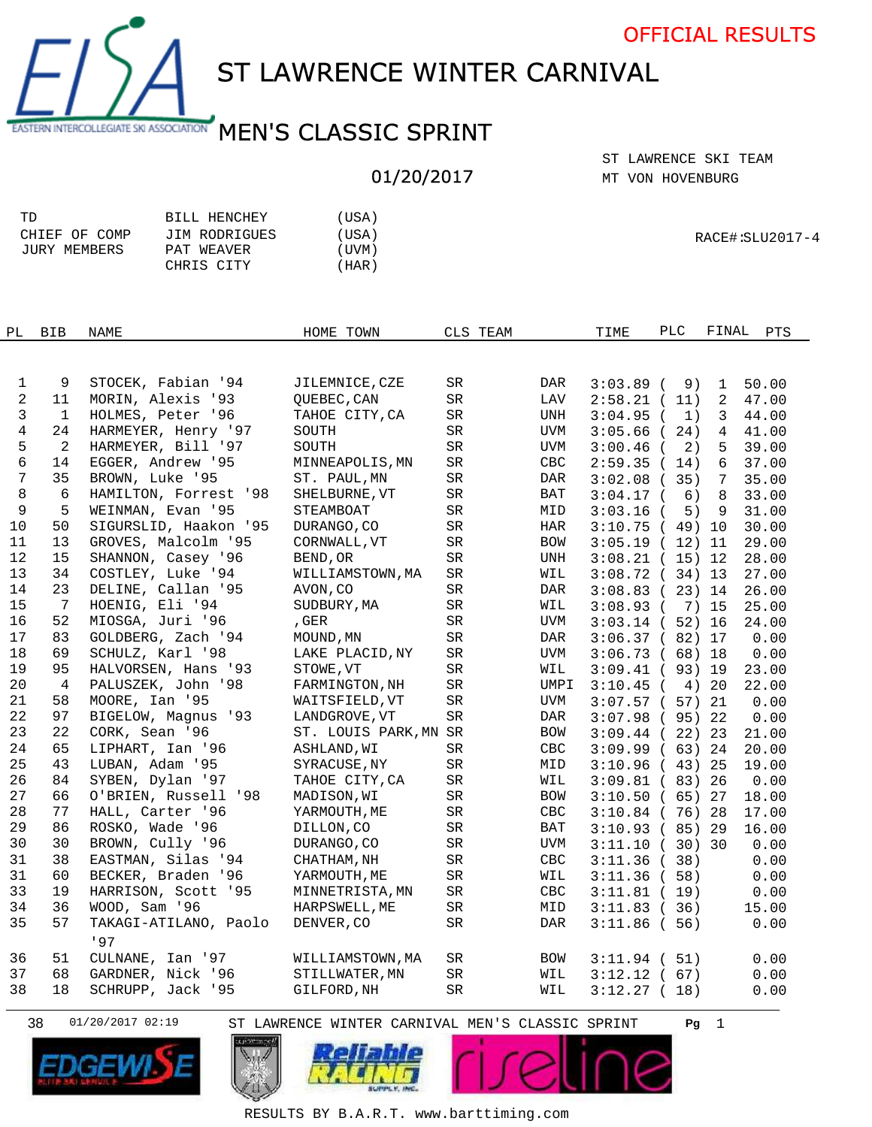

RACE#:SLU2017-4

ST LAWRENCE WINTER CARNIVAL

## EASTERN INTERCOLLEGIATE SKI ASSOCIATION MEN'S CLASSIC SPRINT

## 01/20/2017

MT VON HOVENBURG ST LAWRENCE SKI TEAM

| TD            | BILL HENCHEY  | (USA) |
|---------------|---------------|-------|
| CHIEF OF COMP | JIM RODRIGUES | (USA) |
| JURY MEMBERS  | PAT WEAVER    | (UVM) |
|               | CHRIS CITY    | (HAR) |
|               |               |       |

| PL             | <b>BIB</b>      | <b>NAME</b>           | HOME TOWN             | CLS TEAM   |                | TIME        | PLC                | FINAL<br><b>PTS</b>     |
|----------------|-----------------|-----------------------|-----------------------|------------|----------------|-------------|--------------------|-------------------------|
|                |                 |                       |                       |            |                |             |                    |                         |
|                |                 |                       |                       |            |                |             |                    |                         |
| 1              | 9               | STOCEK, Fabian '94    | JILEMNICE, CZE        | SR         | DAR            | $3:03.89$ ( | 9)                 | 50.00<br>1              |
| $\overline{a}$ | 11              | MORIN, Alexis '93     | OUEBEC, CAN           | ${\rm SR}$ | LAV            | $2:58.21$ ( | 11)                | 2<br>47.00              |
| 3              | $\mathbf{1}$    | HOLMES, Peter '96     | TAHOE CITY, CA        | ${\rm SR}$ | UNH            | $3:04.95$ ( | 1)                 | 3<br>44.00              |
| $\overline{4}$ | 24              | HARMEYER, Henry '97   | SOUTH                 | SR         | <b>UVM</b>     | $3:05.66$ ( | 24)                | $\overline{4}$<br>41.00 |
| 5              | 2               | HARMEYER, Bill '97    | SOUTH                 | SR         | <b>UVM</b>     | $3:00.46$ ( | 2)                 | 39.00<br>5              |
| 6              | 14              | EGGER, Andrew '95     | MINNEAPOLIS, MN       | SR         | $\mathsf{CBC}$ | 2:59.35(14) |                    | 6<br>37.00              |
| 7              | 35              | BROWN, Luke '95       | ST. PAUL, MN          | ${\rm SR}$ | <b>DAR</b>     | $3:02.08$ ( | 35)                | 7<br>35.00              |
| 8              | 6               | HAMILTON, Forrest '98 | SHELBURNE, VT         | SR         | BAT            | $3:04.17$ ( | 6)                 | 8<br>33.00              |
| 9              | 5               | WEINMAN, Evan '95     | STEAMBOAT             | SR         | MID            | $3:03.16$ ( | 5)<br>-9           | 31.00                   |
| $10$           | 50              | SIGURSLID, Haakon '95 | DURANGO, CO           | $\rm SR$   | HAR            |             | 3:10.75(49)10      | 30.00                   |
| 11             | 13              | GROVES, Malcolm '95   | CORNWALL, VT          | ${\rm SR}$ | <b>BOW</b>     |             | 3:05.19(12)11      | 29.00                   |
| 12             | 15              | SHANNON, Casey '96    | BEND, OR              | SR         | UNH            |             | $3:08.21$ (15) 12  | 28.00                   |
| 13             | 34              | COSTLEY, Luke '94     | WILLIAMSTOWN, MA      | SR         | WIL            |             | 3:08.72(34)13      | 27.00                   |
| 14             | 23              | DELINE, Callan '95    | AVON, CO              | SR         | DAR            |             | $3:08.83$ ( 23) 14 | 26.00                   |
| 15             | $7\phantom{.0}$ | HOENIG, Eli '94       | SUDBURY, MA           | ${\rm SR}$ | WIL            | $3:08.93$ ( | 7) 15              | 25.00                   |
| 16             | 52              | MIOSGA, Juri '96      | , GER                 | ${\rm SR}$ | <b>UVM</b>     |             | $3:03.14$ (52) 16  | 24.00                   |
| 17             | 83              | GOLDBERG, Zach '94    | MOUND, MN             | ${\rm SR}$ | DAR            |             | 3:06.37(82)17      | 0.00                    |
| 18             | 69              | SCHULZ, Karl '98      | LAKE PLACID, NY       | ${\rm SR}$ | <b>UVM</b>     |             | 3:06.73(68)18      | 0.00                    |
| 19             | 95              | HALVORSEN, Hans '93   | STOWE, VT             | $\rm SR$   | WIL            |             | $3:09.41$ (93) 19  | 23.00                   |
| 20             | 4               | PALUSZEK, John '98    | FARMINGTON, NH        | SR         | UMPI           | $3:10.45$ ( | 4) 20              | 22.00                   |
| 21             | 58              | MOORE, Ian '95        | WAITSFIELD, VT        | SR         | <b>UVM</b>     |             | $3:07.57$ (57) 21  | 0.00                    |
| 22             | 97              | BIGELOW, Magnus '93   | LANDGROVE, VT         | SR         | DAR            |             | $3:07.98$ (95) 22  | 0.00                    |
| 23             | 22              | CORK, Sean '96        | ST. LOUIS PARK, MN SR |            | BOW            |             | 3:09.44(22)23      | 21.00                   |
| 24             | 65              | LIPHART, Ian '96      | ASHLAND, WI           | ${\rm SR}$ | CBC            |             | 3:09.99(63)24      | 20.00                   |
| 25             | 43              | LUBAN, Adam '95       | SYRACUSE, NY          | ${\rm SR}$ | MID            |             | 3:10.96(43)25      | 19.00                   |
| 26             | 84              | SYBEN, Dylan '97      | TAHOE CITY, CA        | SR         | WIL            |             | $3:09.81$ (83) 26  | 0.00                    |
| 27             | 66              | O'BRIEN, Russell '98  | MADISON, WI           | SR         | <b>BOW</b>     |             | 3:10.50(65)27      | 18.00                   |
| 28             | 77              | HALL, Carter '96      | YARMOUTH, ME          | SR         | $\mathsf{CBC}$ |             | $3:10.84$ ( 76) 28 | 17.00                   |
| 29             | 86              | ROSKO, Wade '96       | DILLON, CO            | SR         | BAT            |             | $3:10.93$ (85) 29  | 16.00                   |
| 30             | 30              | BROWN, Cully '96      | DURANGO, CO           | SR         | UVM            |             | 3:11.10(30)30      | 0.00                    |
| 31             | 38              | EASTMAN, Silas '94    | CHATHAM, NH           | ${\rm SR}$ | CBC            | 3:11.36(38) |                    | 0.00                    |
| 31             | 60              | BECKER, Braden '96    | YARMOUTH, ME          | $\rm SR$   | WIL            | 3:11.36(58) |                    | 0.00                    |
| 33             | 19              | HARRISON, Scott '95   | MINNETRISTA, MN       | ${\rm SR}$ | CBC            | 3:11.81(19) |                    | 0.00                    |
| 34             | 36              | WOOD, Sam '96         | HARPSWELL, ME         | SR         | MID            | 3:11.83(36) |                    | 15.00                   |
| 35             | 57              | TAKAGI-ATILANO, Paolo | DENVER, CO            | SR         | DAR            | 3:11.86(56) |                    | 0.00                    |
|                |                 | '97                   |                       |            |                |             |                    |                         |
| 36             | 51              | CULNANE, Ian '97      | WILLIAMSTOWN, MA      | SR         | BOW            | $3:11.94$ ( | 51)                | 0.00                    |
| 37             | 68              | GARDNER, Nick '96     | STILLWATER, MN        | SR         | WIL            | $3:12.12$ ( | 67)                | 0.00                    |
| 38             | 18              | SCHRUPP, Jack '95     | GILFORD, NH           | SR         | WIL            | 3:12.27(18) |                    | 0.00                    |
|                |                 |                       |                       |            |                |             |                    |                         |







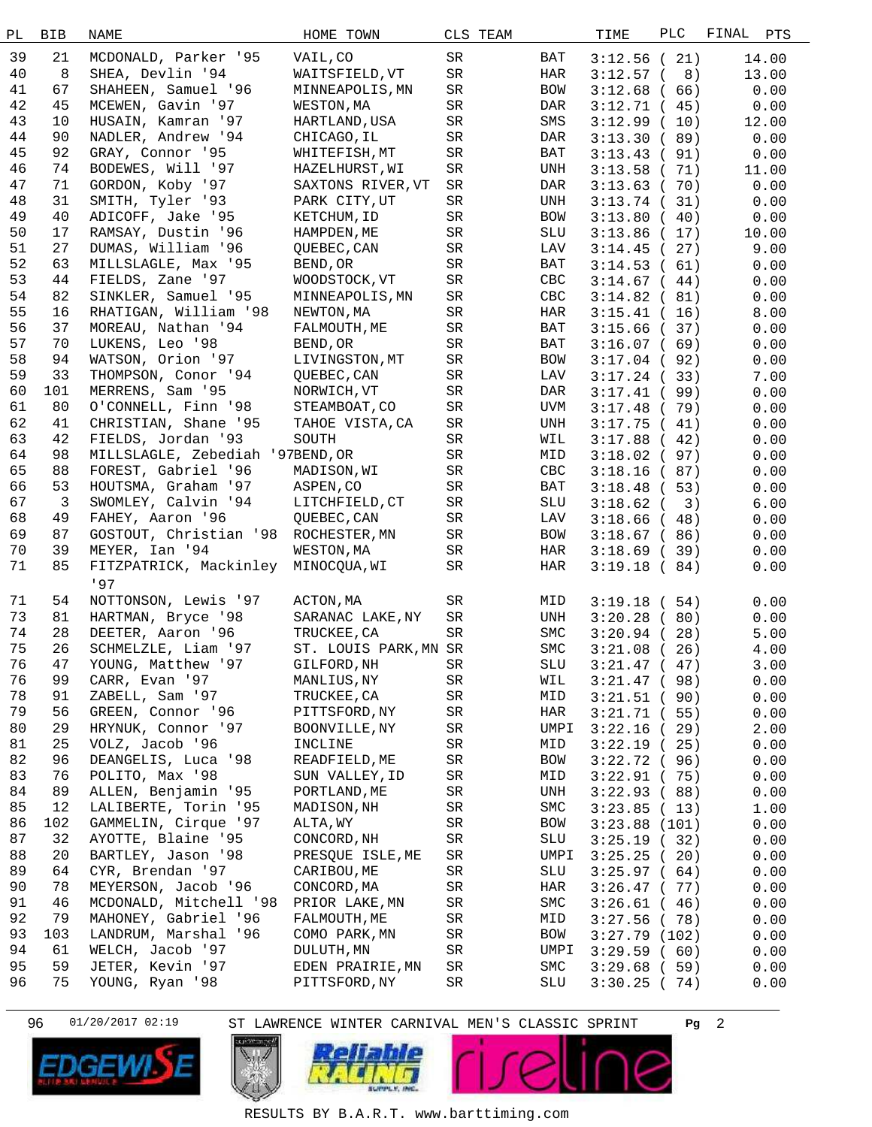| РL | <b>BIB</b>     | NAME                                 | HOME TOWN                     | CLS TEAM   |             | TIME                       | PLC | FINAL<br>PTS |
|----|----------------|--------------------------------------|-------------------------------|------------|-------------|----------------------------|-----|--------------|
| 39 | 21             | MCDONALD, Parker '95                 | VAIL, CO                      | SR         | BAT         | 3:12.56(21)                |     | 14.00        |
| 40 | 8              | SHEA, Devlin '94                     | WAITSFIELD, VT                | SR         | HAR         | $3:12.57$ (                | 8)  | 13.00        |
| 41 | 67             | SHAHEEN, Samuel '96                  | MINNEAPOLIS, MN               | SR         | <b>BOW</b>  |                            |     | 0.00         |
| 42 | 45             | MCEWEN, Gavin '97                    | WESTON, MA                    | ${\rm SR}$ | DAR         | 3:12.68(66)                |     |              |
| 43 | 10             |                                      |                               |            |             | 3:12.71(45)                |     | 0.00         |
|    |                | HUSAIN, Kamran '97                   | HARTLAND, USA                 | SR         | SMS         | $3:12.99$ (                | 10) | 12.00        |
| 44 | 90             | NADLER, Andrew '94                   | CHICAGO, IL                   | SR         | DAR         | 3:13.30(89)                |     | 0.00         |
| 45 | 92             | GRAY, Connor '95                     | WHITEFISH, MT                 | SR         | BAT         | 3:13.43(91)                |     | 0.00         |
| 46 | 74             | BODEWES, Will '97                    | HAZELHURST, WI                | SR         | UNH         | 3:13.58(71)                |     | 11.00        |
| 47 | 71             | GORDON, Koby '97                     | SAXTONS RIVER, VT             | SR         | DAR         | 3:13.63(70)                |     | 0.00         |
| 48 | 31             | SMITH, Tyler '93                     | PARK CITY, UT                 | SR         | UNH         | 3:13.74(31)                |     | 0.00         |
| 49 | 40             | ADICOFF, Jake '95                    | KETCHUM, ID                   | SR         | BOW         | 3:13.80(40)                |     | 0.00         |
| 50 | 17             | RAMSAY, Dustin '96                   | HAMPDEN, ME                   | SR         | SLU         | 3:13.86(17)                |     | 10.00        |
| 51 | 27             | DUMAS, William '96                   | QUEBEC, CAN                   | SR         | LAV         | 3:14.45(27)                |     | 9.00         |
| 52 | 63             | MILLSLAGLE, Max '95                  | BEND, OR                      | SR         | BAT         | 3:14.53(61)                |     | 0.00         |
| 53 | 44             | FIELDS, Zane '97                     | WOODSTOCK, VT                 | SR         | CBC         | 3:14.67(44)                |     | 0.00         |
| 54 | 82             | SINKLER, Samuel '95                  | MINNEAPOLIS, MN               | SR         | CBC         | 3:14.82(81)                |     | 0.00         |
| 55 | 16             | RHATIGAN, William '98                | NEWTON, MA                    | SR         | HAR         | 3:15.41(16)                |     | 8.00         |
| 56 | 37             | MOREAU, Nathan '94                   | FALMOUTH, ME                  | SR         | BAT         | 3:15.66(37)                |     | 0.00         |
| 57 | 70             | LUKENS, Leo '98                      | BEND, OR                      | SR         | BAT         | 3:16.07(69)                |     | 0.00         |
| 58 | 94             | WATSON, Orion '97                    | LIVINGSTON, MT                | SR         | BOW         | 3:17.04(92)                |     | 0.00         |
| 59 | 33             | THOMPSON, Conor '94                  | QUEBEC, CAN                   | SR         | LAV         | 3:17.24(33)                |     | 7.00         |
| 60 | 101            | MERRENS, Sam '95                     | NORWICH, VT                   | SR         | DAR         | 3:17.41(99)                |     | 0.00         |
| 61 | 80             | O'CONNELL, Finn '98                  | STEAMBOAT, CO                 | SR         | UVM         | 3:17.48(79)                |     | 0.00         |
| 62 | 41             | CHRISTIAN, Shane '95                 | TAHOE VISTA, CA               | SR         | UNH         | 3:17.75(41)                |     | 0.00         |
| 63 | 42             | FIELDS, Jordan '93                   | SOUTH                         | SR         | WIL         | 3:17.88(42)                |     | 0.00         |
| 64 | 98             | MILLSLAGLE, Zebediah '97BEND, OR     |                               | SR         | MID         | $3:18.02$ (                | 97) | 0.00         |
| 65 | 88             | FOREST, Gabriel '96                  | MADISON, WI                   | SR         | CBC         | 3:18.16(87)                |     | 0.00         |
| 66 | 53             | HOUTSMA, Graham '97                  | ASPEN, CO                     | SR         | BAT         | 3:18.48(53)                |     | 0.00         |
| 67 | $\overline{3}$ | SWOMLEY, Calvin '94                  | LITCHFIELD, CT                | SR         | SLU         | $3:18.62$ (                | 3)  | 6.00         |
| 68 | 49             | FAHEY, Aaron '96                     | QUEBEC, CAN                   | SR         | LAV         | 3:18.66(48)                |     | 0.00         |
| 69 | 87             | GOSTOUT, Christian '98 ROCHESTER, MN |                               | SR         | <b>BOW</b>  | 3:18.67(86)                |     | 0.00         |
| 70 | 39             | MEYER, Ian '94                       | WESTON, MA                    | SR         | HAR         | 3:18.69(39)                |     | 0.00         |
| 71 | 85             | FITZPATRICK, Mackinley MINOCQUA, WI  |                               | SR         | HAR         | 3:19.18(84)                |     | 0.00         |
|    |                | 197                                  |                               |            |             |                            |     |              |
| 71 | 54             | NOTTONSON, Lewis '97                 |                               | SR         | MID         |                            |     |              |
| 73 | 81             | HARTMAN, Bryce '98                   | ACTON, MA<br>SARANAC LAKE, NY | SR         | UNH         | 3:19.18(54)<br>3:20.28(80) |     | 0.00         |
| 74 | 28             | DEETER, Aaron '96                    | TRUCKEE, CA                   | SR         | ${\tt SMC}$ |                            |     | 0.00         |
| 75 | 26             | SCHMELZLE, Liam '97                  | ST. LOUIS PARK, MN SR         |            | <b>SMC</b>  | $3:20.94$ (                | 28) | 5.00         |
| 76 |                |                                      | GILFORD, NH                   |            |             | 3:21.08(26)                |     | 4.00         |
|    | 47             | YOUNG, Matthew '97                   |                               | SR         | SLU         | 3:21.47(47)                |     | 3.00         |
| 76 | 99             | CARR, Evan '97                       | MANLIUS, NY                   | SR         | WIL         | 3:21.47(98)                |     | 0.00         |
| 78 | 91             | ZABELL, Sam '97                      | TRUCKEE, CA                   | SR         | MID         | 3:21.51(90)                |     | 0.00         |
| 79 | 56             | GREEN, Connor '96                    | PITTSFORD, NY                 | SR         | HAR         | 3:21.71(55)                |     | 0.00         |
| 80 | 29             | HRYNUK, Connor '97                   | BOONVILLE, NY                 | SR         | UMPI        | $3:22.16$ (                | 29) | 2.00         |
| 81 | 25             | VOLZ, Jacob '96                      | INCLINE                       | SR         | MID         | 3:22.19(25)                |     | 0.00         |
| 82 | 96             | DEANGELIS, Luca '98                  | READFIELD, ME                 | SR         | BOW         | 3:22.72(96)                |     | 0.00         |
| 83 | 76             | POLITO, Max '98                      | SUN VALLEY, ID                | SR         | MID         | 3:22.91(75)                |     | 0.00         |
| 84 | 89             | ALLEN, Benjamin '95                  | PORTLAND, ME                  | SR         | UNH         | 3:22.93(88)                |     | 0.00         |
| 85 | 12             | LALIBERTE, Torin '95                 | MADISON, NH                   | SR         | SMC         | 3:23.85(13)                |     | 1.00         |
| 86 | 102            | GAMMELIN, Cirque '97                 | ALTA, WY                      | SR         | BOW         | 3:23.88(101)               |     | 0.00         |
| 87 | 32             | AYOTTE, Blaine '95                   | CONCORD, NH                   | SR         | SLU         | 3:25.19(32)                |     | 0.00         |
| 88 | 20             | BARTLEY, Jason '98                   | PRESQUE ISLE, ME              | SR         | UMPI        | 3:25.25(20)                |     | 0.00         |
| 89 | 64             | CYR, Brendan '97                     | CARIBOU, ME                   | SR         | SLU         | 3:25.97(64)                |     | 0.00         |
| 90 | 78             | MEYERSON, Jacob '96                  | CONCORD, MA                   | SR         | HAR         | 3:26.47(77)                |     | 0.00         |
| 91 | 46             | MCDONALD, Mitchell '98               | PRIOR LAKE, MN                | SR         | SMC         | 3:26.61(46)                |     | 0.00         |
| 92 | 79             | MAHONEY, Gabriel '96                 | FALMOUTH, ME                  | SR         | MID         | $3:27.56$ (78)             |     | 0.00         |
| 93 | 103            | LANDRUM, Marshal '96                 | COMO PARK, MN                 | SR         | BOW         | 3:27.79(102)               |     | 0.00         |
| 94 | 61             | WELCH, Jacob '97                     | DULUTH, MN                    | SR         | UMPI        | 3:29.59(60)                |     | 0.00         |
| 95 | 59             | JETER, Kevin '97                     | EDEN PRAIRIE, MN              | SR         | SMC         | 3:29.68(59)                |     | 0.00         |
| 96 | 75             | YOUNG, Ryan '98                      | PITTSFORD, NY                 | SR         | SLU         | 3:30.25(74)                |     | 0.00         |
|    |                |                                      |                               |            |             |                            |     |              |

96 01/20/2017 02:19 ST LAWRENCE WINTER CARNIVAL MEN'S CLASSIC SPRINT **Pg** 2

j









RESULTS BY B.A.R.T. www.barttiming.com